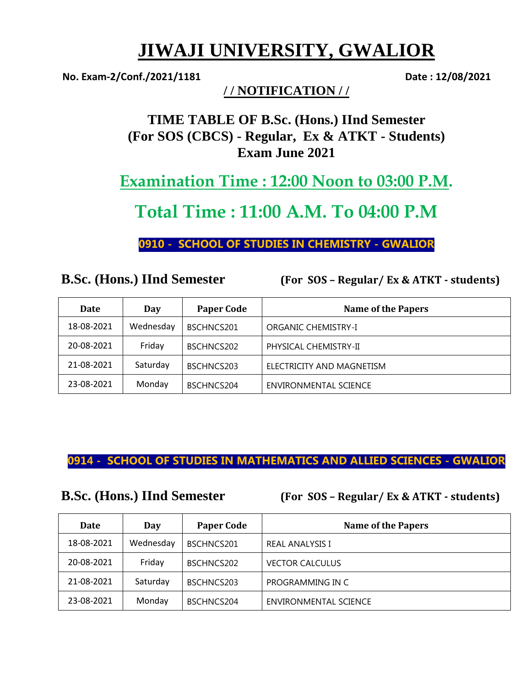# **JIWAJI UNIVERSITY, GWALIOR**

**No. Exam-2/Conf./2021/1181 Date : 12/08/2021**

**/ / NOTIFICATION / /**

**TIME TABLE OF B.Sc. (Hons.) IInd Semester (For SOS (CBCS) - Regular, Ex & ATKT - Students) Exam June 2021**

**Examination Time : 12:00 Noon to 03:00 P.M.**

# **Total Time : 11:00 A.M. To 04:00 P.M**

**0910 - SCHOOL OF STUDIES IN CHEMISTRY - GWALIOR**

| <b>B.Sc. (Hons.) IInd Semester</b> |
|------------------------------------|
|------------------------------------|

**B.Sc. (Hons.) IInd Semester (For SOS – Regular/ Ex & ATKT - students)** 

| <b>Date</b> | Day       | <b>Paper Code</b> | <b>Name of the Papers</b> |
|-------------|-----------|-------------------|---------------------------|
| 18-08-2021  | Wednesday | BSCHNCS201        | ORGANIC CHEMISTRY-I       |
| 20-08-2021  | Friday    | BSCHNCS202        | PHYSICAL CHEMISTRY-II     |
| 21-08-2021  | Saturday  | BSCHNCS203        | ELECTRICITY AND MAGNETISM |
| 23-08-2021  | Monday    | BSCHNCS204        | ENVIRONMENTAL SCIENCE     |

## **0914 - SCHOOL OF STUDIES IN MATHEMATICS AND ALLIED SCIENCES - GWALIOR**

**B.Sc. (Hons.) IInd Semester (For SOS – Regular/ Ex & ATKT - students)** 

| Date       | Day       | <b>Paper Code</b> | <b>Name of the Papers</b>    |
|------------|-----------|-------------------|------------------------------|
| 18-08-2021 | Wednesday | BSCHNCS201        | <b>REAL ANALYSIS I</b>       |
| 20-08-2021 | Friday    | BSCHNCS202        | <b>VECTOR CALCULUS</b>       |
| 21-08-2021 | Saturday  | BSCHNCS203        | PROGRAMMING IN C             |
| 23-08-2021 | Monday    | BSCHNCS204        | <b>ENVIRONMENTAL SCIENCE</b> |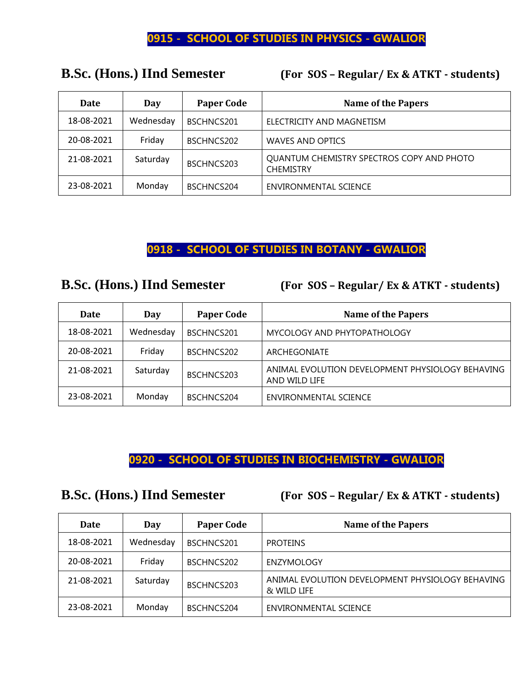### **0915 - SCHOOL OF STUDIES IN PHYSICS - GWALIOR**

# **Date Day Paper Code Name of the Papers** 18-08-2021 | Wednesday | BSCHNCS201 | ELECTRICITY AND MAGNETISM 20-08-2021 Friday BSCHNCS202 WAVES AND OPTICS 21-08-2021 Saturday BSCHNCS203 QUANTUM CHEMISTRY SPECTROS COPY AND PHOTO **CHEMISTRY** 23-08-2021 | Monday | BSCHNCS204 | ENVIRONMENTAL SCIENCE

**B.Sc. (Hons.) IInd Semester (For SOS – Regular/ Ex & ATKT - students)** 

## **0918 - SCHOOL OF STUDIES IN BOTANY - GWALIOR**

**B.Sc. (Hons.) IInd Semester (For SOS – Regular/ Ex & ATKT - students)** 

| <b>Date</b> | Day       | <b>Paper Code</b> | <b>Name of the Papers</b>                                         |
|-------------|-----------|-------------------|-------------------------------------------------------------------|
| 18-08-2021  | Wednesday | BSCHNCS201        | MYCOLOGY AND PHYTOPATHOLOGY                                       |
| 20-08-2021  | Friday    | BSCHNCS202        | ARCHEGONIATE                                                      |
| 21-08-2021  | Saturday  | BSCHNCS203        | ANIMAL EVOLUTION DEVELOPMENT PHYSIOLOGY BEHAVING<br>AND WILD LIFE |
| 23-08-2021  | Monday    | BSCHNCS204        | <b>ENVIRONMENTAL SCIENCE</b>                                      |

## **0920 - SCHOOL OF STUDIES IN BIOCHEMISTRY - GWALIOR**

**B.Sc. (Hons.) IInd Semester (For SOS – Regular/ Ex & ATKT - students)** 

| Date       | Day       | <b>Paper Code</b> | <b>Name of the Papers</b>                                       |
|------------|-----------|-------------------|-----------------------------------------------------------------|
| 18-08-2021 | Wednesday | BSCHNCS201        | <b>PROTEINS</b>                                                 |
| 20-08-2021 | Friday    | BSCHNCS202        | <b>ENZYMOLOGY</b>                                               |
| 21-08-2021 | Saturday  | BSCHNCS203        | ANIMAL EVOLUTION DEVELOPMENT PHYSIOLOGY BEHAVING<br>& WILD LIFE |
| 23-08-2021 | Monday    | BSCHNCS204        | ENVIRONMENTAL SCIENCE                                           |